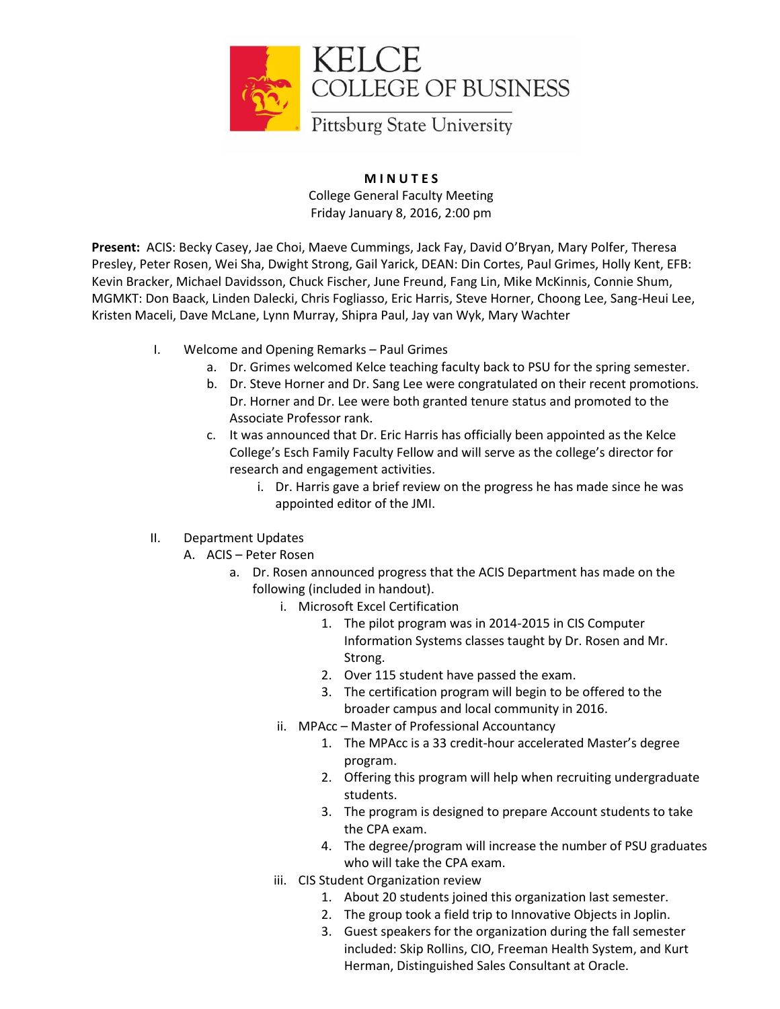

**M I N U T E S** College General Faculty Meeting Friday January 8, 2016, 2:00 pm

**Present:** ACIS: Becky Casey, Jae Choi, Maeve Cummings, Jack Fay, David O'Bryan, Mary Polfer, Theresa Presley, Peter Rosen, Wei Sha, Dwight Strong, Gail Yarick, DEAN: Din Cortes, Paul Grimes, Holly Kent, EFB: Kevin Bracker, Michael Davidsson, Chuck Fischer, June Freund, Fang Lin, Mike McKinnis, Connie Shum, MGMKT: Don Baack, Linden Dalecki, Chris Fogliasso, Eric Harris, Steve Horner, Choong Lee, Sang-Heui Lee, Kristen Maceli, Dave McLane, Lynn Murray, Shipra Paul, Jay van Wyk, Mary Wachter

- I. Welcome and Opening Remarks Paul Grimes
	- a. Dr. Grimes welcomed Kelce teaching faculty back to PSU for the spring semester.
	- b. Dr. Steve Horner and Dr. Sang Lee were congratulated on their recent promotions. Dr. Horner and Dr. Lee were both granted tenure status and promoted to the Associate Professor rank.
	- c. It was announced that Dr. Eric Harris has officially been appointed as the Kelce College's Esch Family Faculty Fellow and will serve as the college's director for research and engagement activities.
		- i. Dr. Harris gave a brief review on the progress he has made since he was appointed editor of the JMI.
- II. Department Updates
	- A. ACIS Peter Rosen
		- a. Dr. Rosen announced progress that the ACIS Department has made on the following (included in handout).
			- i. Microsoft Excel Certification
				- 1. The pilot program was in 2014-2015 in CIS Computer Information Systems classes taught by Dr. Rosen and Mr. Strong.
				- 2. Over 115 student have passed the exam.
				- 3. The certification program will begin to be offered to the broader campus and local community in 2016.
			- ii. MPAcc Master of Professional Accountancy
				- 1. The MPAcc is a 33 credit-hour accelerated Master's degree program.
				- 2. Offering this program will help when recruiting undergraduate students.
				- 3. The program is designed to prepare Account students to take the CPA exam.
				- 4. The degree/program will increase the number of PSU graduates who will take the CPA exam.
			- iii. CIS Student Organization review
				- 1. About 20 students joined this organization last semester.
				- 2. The group took a field trip to Innovative Objects in Joplin.
				- 3. Guest speakers for the organization during the fall semester included: Skip Rollins, CIO, Freeman Health System, and Kurt Herman, Distinguished Sales Consultant at Oracle.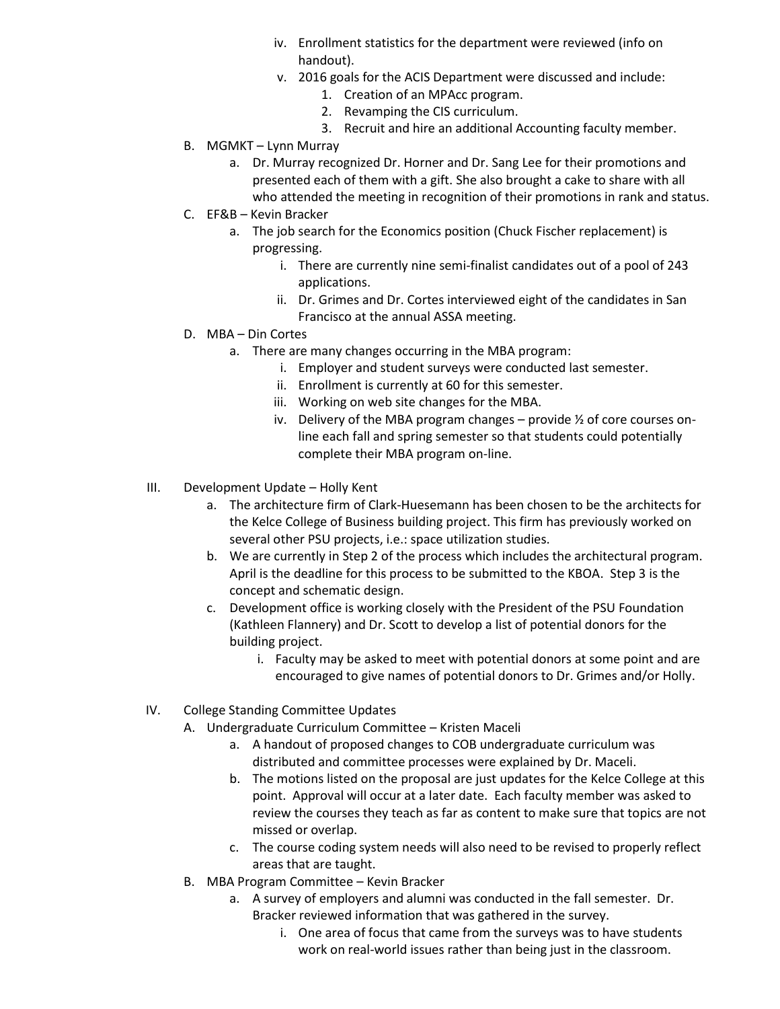- iv. Enrollment statistics for the department were reviewed (info on handout).
- v. 2016 goals for the ACIS Department were discussed and include:
	- 1. Creation of an MPAcc program.
		- 2. Revamping the CIS curriculum.
	- 3. Recruit and hire an additional Accounting faculty member.
- B. MGMKT Lynn Murray
	- a. Dr. Murray recognized Dr. Horner and Dr. Sang Lee for their promotions and presented each of them with a gift. She also brought a cake to share with all who attended the meeting in recognition of their promotions in rank and status.
- C. EF&B Kevin Bracker
	- a. The job search for the Economics position (Chuck Fischer replacement) is progressing.
		- i. There are currently nine semi-finalist candidates out of a pool of 243 applications.
		- ii. Dr. Grimes and Dr. Cortes interviewed eight of the candidates in San Francisco at the annual ASSA meeting.
- D. MBA Din Cortes
	- a. There are many changes occurring in the MBA program:
		- i. Employer and student surveys were conducted last semester.
		- ii. Enrollment is currently at 60 for this semester.
		- iii. Working on web site changes for the MBA.
		- iv. Delivery of the MBA program changes provide ½ of core courses online each fall and spring semester so that students could potentially complete their MBA program on-line.
- III. Development Update Holly Kent
	- a. The architecture firm of Clark-Huesemann has been chosen to be the architects for the Kelce College of Business building project. This firm has previously worked on several other PSU projects, i.e.: space utilization studies.
	- b. We are currently in Step 2 of the process which includes the architectural program. April is the deadline for this process to be submitted to the KBOA. Step 3 is the concept and schematic design.
	- c. Development office is working closely with the President of the PSU Foundation (Kathleen Flannery) and Dr. Scott to develop a list of potential donors for the building project.
		- i. Faculty may be asked to meet with potential donors at some point and are encouraged to give names of potential donors to Dr. Grimes and/or Holly.
- IV. College Standing Committee Updates
	- A. Undergraduate Curriculum Committee Kristen Maceli
		- a. A handout of proposed changes to COB undergraduate curriculum was distributed and committee processes were explained by Dr. Maceli.
		- b. The motions listed on the proposal are just updates for the Kelce College at this point. Approval will occur at a later date. Each faculty member was asked to review the courses they teach as far as content to make sure that topics are not missed or overlap.
		- c. The course coding system needs will also need to be revised to properly reflect areas that are taught.
	- B. MBA Program Committee Kevin Bracker
		- a. A survey of employers and alumni was conducted in the fall semester. Dr. Bracker reviewed information that was gathered in the survey.
			- i. One area of focus that came from the surveys was to have students work on real-world issues rather than being just in the classroom.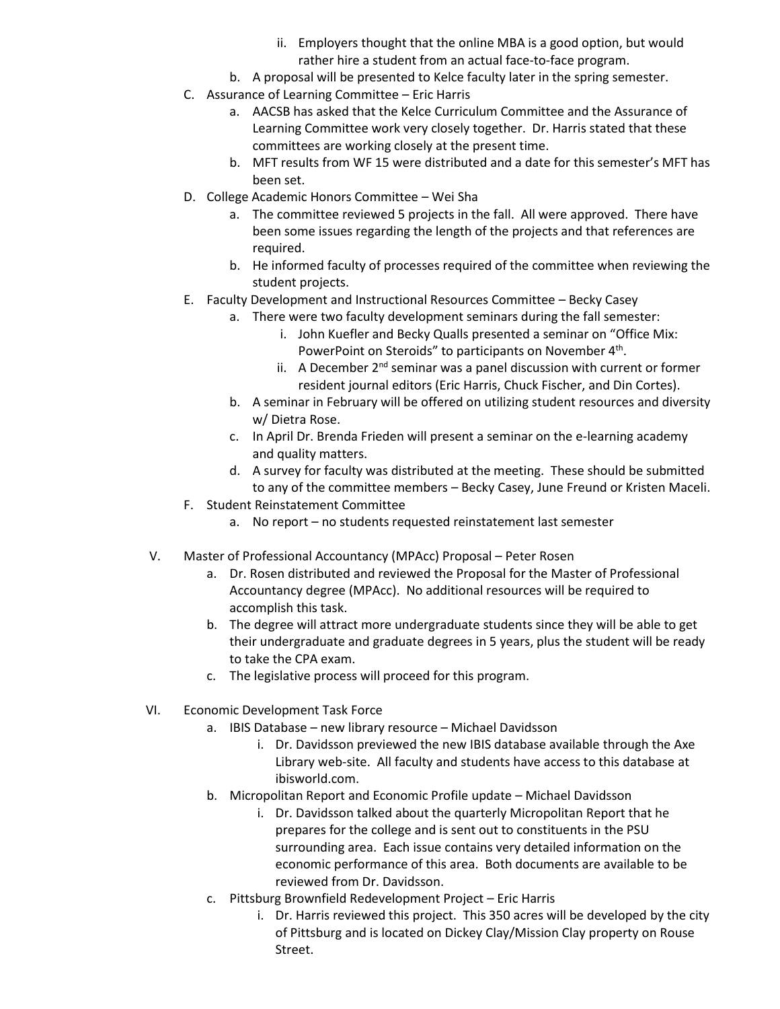- ii. Employers thought that the online MBA is a good option, but would rather hire a student from an actual face-to-face program.
- b. A proposal will be presented to Kelce faculty later in the spring semester.
- C. Assurance of Learning Committee Eric Harris
	- a. AACSB has asked that the Kelce Curriculum Committee and the Assurance of Learning Committee work very closely together. Dr. Harris stated that these committees are working closely at the present time.
	- b. MFT results from WF 15 were distributed and a date for this semester's MFT has been set.
- D. College Academic Honors Committee Wei Sha
	- a. The committee reviewed 5 projects in the fall. All were approved. There have been some issues regarding the length of the projects and that references are required.
	- b. He informed faculty of processes required of the committee when reviewing the student projects.
- E. Faculty Development and Instructional Resources Committee Becky Casey
	- a. There were two faculty development seminars during the fall semester:
		- i. John Kuefler and Becky Qualls presented a seminar on "Office Mix: PowerPoint on Steroids" to participants on November 4<sup>th</sup>.
		- ii. A December  $2<sup>nd</sup>$  seminar was a panel discussion with current or former resident journal editors (Eric Harris, Chuck Fischer, and Din Cortes).
	- b. A seminar in February will be offered on utilizing student resources and diversity w/ Dietra Rose.
	- c. In April Dr. Brenda Frieden will present a seminar on the e-learning academy and quality matters.
	- d. A survey for faculty was distributed at the meeting. These should be submitted to any of the committee members – Becky Casey, June Freund or Kristen Maceli.
- F. Student Reinstatement Committee
	- a. No report no students requested reinstatement last semester
- V. Master of Professional Accountancy (MPAcc) Proposal Peter Rosen
	- a. Dr. Rosen distributed and reviewed the Proposal for the Master of Professional Accountancy degree (MPAcc). No additional resources will be required to accomplish this task.
	- b. The degree will attract more undergraduate students since they will be able to get their undergraduate and graduate degrees in 5 years, plus the student will be ready to take the CPA exam.
	- c. The legislative process will proceed for this program.
- VI. Economic Development Task Force
	- a. IBIS Database new library resource Michael Davidsson
		- i. Dr. Davidsson previewed the new IBIS database available through the Axe Library web-site. All faculty and students have access to this database at ibisworld.com.
	- b. Micropolitan Report and Economic Profile update Michael Davidsson
		- i. Dr. Davidsson talked about the quarterly Micropolitan Report that he prepares for the college and is sent out to constituents in the PSU surrounding area. Each issue contains very detailed information on the economic performance of this area. Both documents are available to be reviewed from Dr. Davidsson.
	- c. Pittsburg Brownfield Redevelopment Project Eric Harris
		- i. Dr. Harris reviewed this project. This 350 acres will be developed by the city of Pittsburg and is located on Dickey Clay/Mission Clay property on Rouse Street.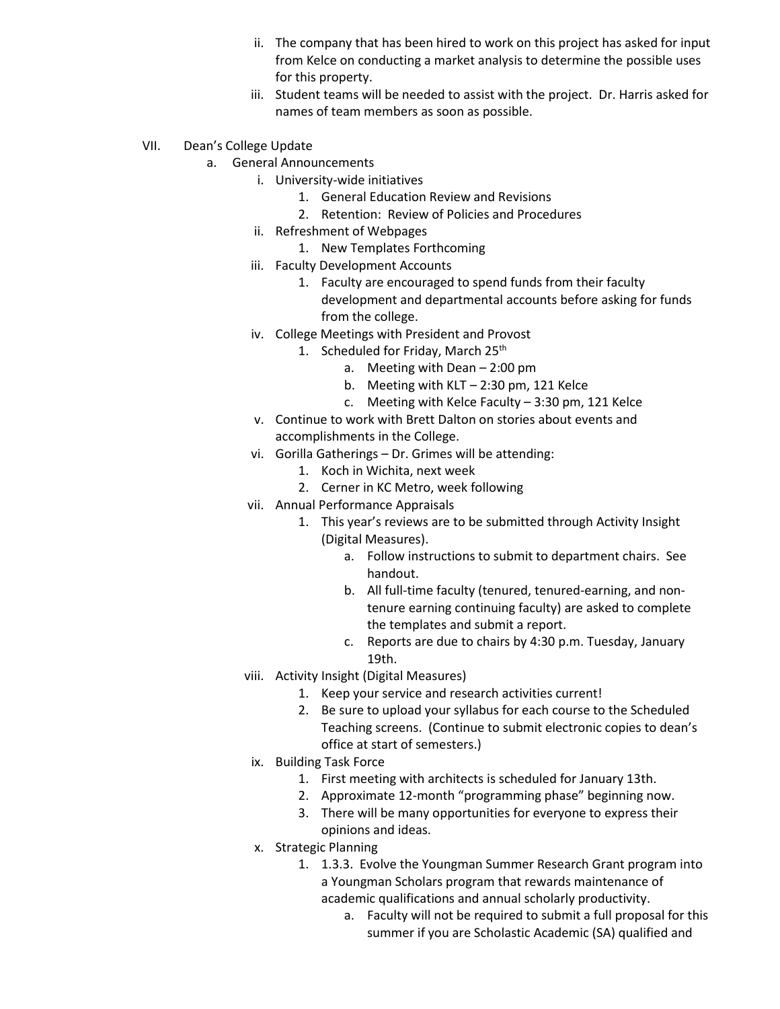- ii. The company that has been hired to work on this project has asked for input from Kelce on conducting a market analysis to determine the possible uses for this property.
- iii. Student teams will be needed to assist with the project. Dr. Harris asked for names of team members as soon as possible.
- VII. Dean's College Update
	- a. General Announcements
		- i. University-wide initiatives
			- 1. General Education Review and Revisions
			- 2. Retention: Review of Policies and Procedures
		- ii. Refreshment of Webpages
			- 1. New Templates Forthcoming
		- iii. Faculty Development Accounts
			- 1. Faculty are encouraged to spend funds from their faculty development and departmental accounts before asking for funds from the college.
		- iv. College Meetings with President and Provost
			- 1. Scheduled for Friday, March 25<sup>th</sup>
				- a. Meeting with Dean 2:00 pm
				- b. Meeting with KLT 2:30 pm, 121 Kelce
				- c. Meeting with Kelce Faculty 3:30 pm, 121 Kelce
		- v. Continue to work with Brett Dalton on stories about events and accomplishments in the College.
		- vi. Gorilla Gatherings Dr. Grimes will be attending:
			- 1. Koch in Wichita, next week
			- 2. Cerner in KC Metro, week following
		- vii. Annual Performance Appraisals
			- 1. This year's reviews are to be submitted through Activity Insight (Digital Measures).
				- a. Follow instructions to submit to department chairs. See handout.
				- b. All full-time faculty (tenured, tenured-earning, and nontenure earning continuing faculty) are asked to complete the templates and submit a report.
				- c. Reports are due to chairs by 4:30 p.m. Tuesday, January 19th.
		- viii. Activity Insight (Digital Measures)
			- 1. Keep your service and research activities current!
			- 2. Be sure to upload your syllabus for each course to the Scheduled Teaching screens. (Continue to submit electronic copies to dean's office at start of semesters.)
			- ix. Building Task Force
				- 1. First meeting with architects is scheduled for January 13th.
				- 2. Approximate 12-month "programming phase" beginning now.
				- 3. There will be many opportunities for everyone to express their opinions and ideas.
			- x. Strategic Planning
				- 1. 1.3.3. Evolve the Youngman Summer Research Grant program into a Youngman Scholars program that rewards maintenance of academic qualifications and annual scholarly productivity.
					- a. Faculty will not be required to submit a full proposal for this summer if you are Scholastic Academic (SA) qualified and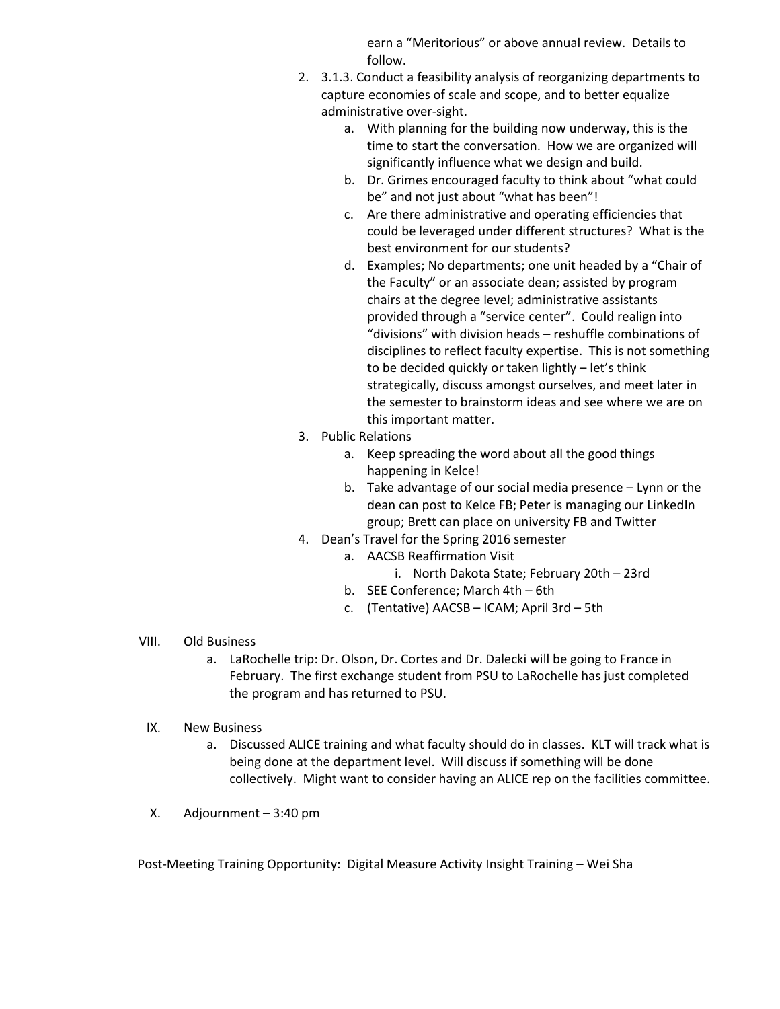earn a "Meritorious" or above annual review. Details to follow.

- 2. 3.1.3. Conduct a feasibility analysis of reorganizing departments to capture economies of scale and scope, and to better equalize administrative over-sight.
	- a. With planning for the building now underway, this is the time to start the conversation. How we are organized will significantly influence what we design and build.
	- b. Dr. Grimes encouraged faculty to think about "what could be" and not just about "what has been"!
	- c. Are there administrative and operating efficiencies that could be leveraged under different structures? What is the best environment for our students?
	- d. Examples; No departments; one unit headed by a "Chair of the Faculty" or an associate dean; assisted by program chairs at the degree level; administrative assistants provided through a "service center". Could realign into "divisions" with division heads – reshuffle combinations of disciplines to reflect faculty expertise. This is not something to be decided quickly or taken lightly – let's think strategically, discuss amongst ourselves, and meet later in the semester to brainstorm ideas and see where we are on this important matter.
- 3. Public Relations
	- a. Keep spreading the word about all the good things happening in Kelce!
	- b. Take advantage of our social media presence Lynn or the dean can post to Kelce FB; Peter is managing our LinkedIn group; Brett can place on university FB and Twitter
- 4. Dean's Travel for the Spring 2016 semester
	- a. AACSB Reaffirmation Visit
		- i. North Dakota State; February 20th 23rd
	- b. SEE Conference; March 4th 6th
	- c. (Tentative) AACSB ICAM; April 3rd 5th
- VIII. Old Business
	- a. LaRochelle trip: Dr. Olson, Dr. Cortes and Dr. Dalecki will be going to France in February. The first exchange student from PSU to LaRochelle has just completed the program and has returned to PSU.
- IX. New Business
	- a. Discussed ALICE training and what faculty should do in classes. KLT will track what is being done at the department level. Will discuss if something will be done collectively. Might want to consider having an ALICE rep on the facilities committee.
- X. Adjournment 3:40 pm

Post-Meeting Training Opportunity: Digital Measure Activity Insight Training – Wei Sha